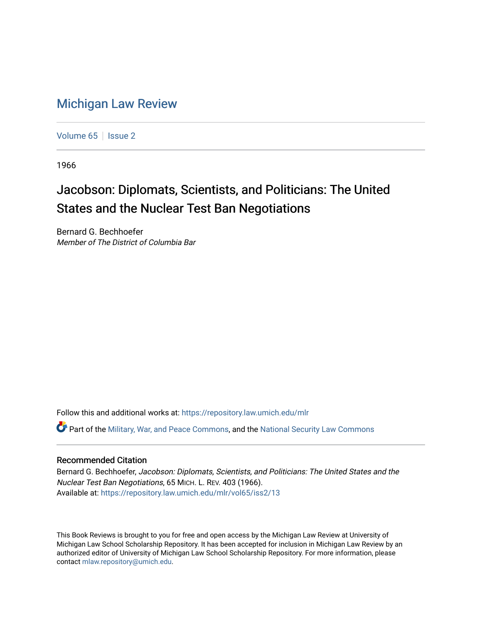## [Michigan Law Review](https://repository.law.umich.edu/mlr)

[Volume 65](https://repository.law.umich.edu/mlr/vol65) | [Issue 2](https://repository.law.umich.edu/mlr/vol65/iss2)

1966

## Jacobson: Diplomats, Scientists, and Politicians: The United States and the Nuclear Test Ban Negotiations

Bernard G. Bechhoefer Member of The District of Columbia Bar

Follow this and additional works at: [https://repository.law.umich.edu/mlr](https://repository.law.umich.edu/mlr?utm_source=repository.law.umich.edu%2Fmlr%2Fvol65%2Fiss2%2F13&utm_medium=PDF&utm_campaign=PDFCoverPages) 

 $\bullet$  Part of the [Military, War, and Peace Commons,](http://network.bepress.com/hgg/discipline/861?utm_source=repository.law.umich.edu%2Fmlr%2Fvol65%2Fiss2%2F13&utm_medium=PDF&utm_campaign=PDFCoverPages) and the National Security Law Commons

## Recommended Citation

Bernard G. Bechhoefer, Jacobson: Diplomats, Scientists, and Politicians: The United States and the Nuclear Test Ban Negotiations, 65 MICH. L. REV. 403 (1966). Available at: [https://repository.law.umich.edu/mlr/vol65/iss2/13](https://repository.law.umich.edu/mlr/vol65/iss2/13?utm_source=repository.law.umich.edu%2Fmlr%2Fvol65%2Fiss2%2F13&utm_medium=PDF&utm_campaign=PDFCoverPages) 

This Book Reviews is brought to you for free and open access by the Michigan Law Review at University of Michigan Law School Scholarship Repository. It has been accepted for inclusion in Michigan Law Review by an authorized editor of University of Michigan Law School Scholarship Repository. For more information, please contact [mlaw.repository@umich.edu](mailto:mlaw.repository@umich.edu).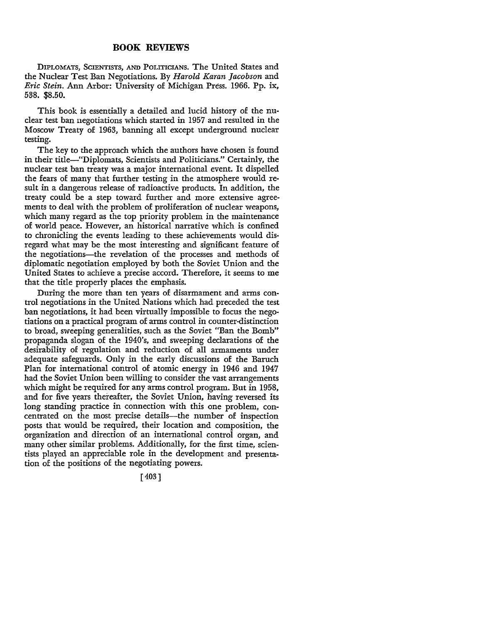## **BOOK REVIEWS**

DIPLOMATS, SCIENTISTS, AND POLITICIANS. The United States and the Nuclear Test Ban Negotiations. By *Harold Karan Jacobson* and *Eric Stein.* Ann Arbor: University of Michigan Press. 1966. Pp. ix, 538. \$8.50.

This book is essentially a detailed and lucid history of the nuclear test ban negotiations which started in 1957 and resulted in the Moscow Treaty of 1963, banning all except underground nuclear testing.

The key to the approach which the authors have chosen is found in their title-"Diplomats, Scientists and Politicians." Certainly, the nuclear test ban treaty was a major international event. It dispelled the fears of many that further testing in the atmosphere would result in a dangerous release of radioactive products. In addition, the treaty could be a step toward further and more extensive agreements to deal with the problem of proliferation of nuclear weapons, which many regard as the top priority problem in the maintenance of world peace. However, an historical narrative which is confined to chronicling the events leading to these achievements would disregard what may be the most interesting and significant feature of the negotiations-the revelation of the processes and methods of diplomatic negotiation employed by both the Soviet Union and the United States to achieve a precise accord. Therefore, it seems to me that the title properly places the emphasis.

During the more than ten years of disarmament and arms control negotiations in the United Nations which had preceded the test ban negotiations, it had been virtually impossible to focus the negotiations on a practical program of arms control in counter-distinction to broad, sweeping generalities, such as the Soviet "Ban the Bomb" propaganda slogan of the 1940's, and sweeping declarations of the desirability of regulation and reduction of all armaments under adequate safeguards. Only in the early discussions of the Baruch Plan for international control of atomic energy in 1946 and 1947 had the Soviet Union been willing to consider the vast arrangements which might be required for any arms control program. But in 1958, and for five years thereafter, the Soviet Union, having reversed its long standing practice in connection with this one problem, concentrated on the most precise details-the number of inspection posts that would be required, their location and composition, the organization and direction of an international control organ, and many other similar problems. Additionally, for the first time, scientists played an appreciable role in the development and presentation of the positions of the negotiating powers.

[ 403]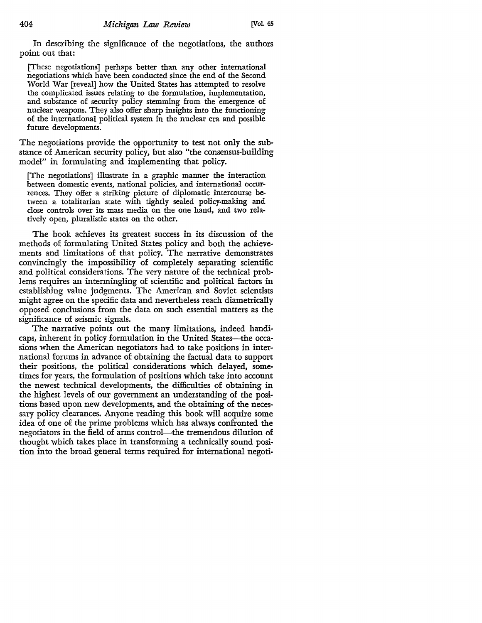In describing the significance of the negotiations, the authors point out that:

[These negotiations] perhaps better than any other international negotiations which have been conducted since the end of the Second World War [reveal] how the United States has attempted to resolve the complicated issues relating to the formulation, implementation, and substance of security policy stemming from the emergence of nuclear weapons. They also offer sharp insights into the functioning of the international political system in the nuclear era and possible future developments.

The negotiations provide the opportunity to test not only the substance of American security policy, but also "the consensus-building model" in formulating and implementing that policy.

[The negotiations] illustrate in a graphic manner the interaction between domestic events, national policies, and international occurrences. They offer a striking picture of diplomatic intercourse between a totalitarian state with tightly sealed policy-making and close controls over its mass media on the one hand, and two relatively open, pluralistic states on the other.

The book achieves its greatest success in its discussion of the methods of formulating United States policy and both the achievements and limitations of that policy. The narrative demonstrates convincingly the impossibility of completely separating scientific and political considerations. The very nature of the technical problems requires an intermingling of scientific and political factors in establishing value judgments. The American and Soviet scientists might agree on the specific data and nevertheless reach diametrically opposed conclusions from the data on such essential matters as the significance of seismic signals.

The narrative points out the many limitations, indeed handicaps, inherent in policy formulation in the United States--the occasions when the American negotiators had to take positions in international forums in advance of obtaining the factual data to support their positions, the political considerations which delayed, sometimes for years, the formulation of positions which take into account the newest technical developments, the difficulties of obtaining in the highest levels of our government an understanding of the positions based upon new developments, and the obtaining of the necessary policy clearances. Anyone reading this book will acquire some idea of one of the prime problems which has always confronted the negotiators in the field of arms control—the tremendous dilution of thought which takes place in transforming a technically sound position into the broad general terms required for international negoti-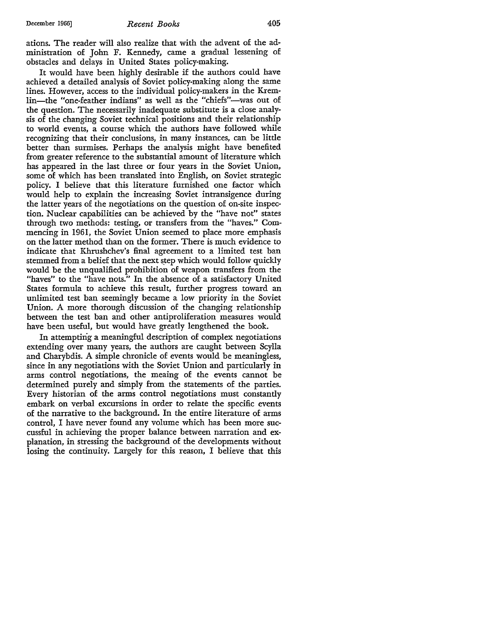ations. The reader will also realize that with the advent of the administration of John F. Kennedy, came a gradual lessening of obstacles and delays in United States policy-making.

It would have been highly desirable if the authors could have achieved a detailed analysis of Soviet policy-making along the same lines. However, access to the individual policy-makers in the Kremlin-the "one-feather indians" as well as the "chiefs"-was out of the question. The necessarily inadequate substitute is a close analysis of the changing Soviet technical positions and their relationship to world events, a course which the authors have followed while recognizing that their conclusions, in many instances, can be little better than surmises. Perhaps the analysis might have benefited from greater reference to the substantial amount of literature which has appeared in the last three or four years in the Soviet Union, some of which has been translated into English, on Soviet strategic policy. I believe that this literature furnished one factor which would help to explain the increasing Soviet intransigence during the latter years of the negotiations on the question of on-site inspection. Nuclear capabilities can be achieved by the "have not" states through two methods: testing, or transfers from the "haves." Commencing in 1961, the Soviet Union seemed to place more emphasis on the latter method than on the former. There is much evidence to indicate that Khrushchev's final agreement to a limited test ban stemmed from a belief that the next step which would follow quickly would be the unqualified prohibition of weapon transfers from the "haves" to the "have nots." In the absence of a satisfactory United States formula to achieve this result, further progress toward an unlimited test ban seemingly became a low priority in the Soviet Union. A more thorough discussion of the changing relationship between the test ban and other antiproliferation measures would have been useful, but would have greatly lengthened the book.

In attempting a meaningful description of complex negotiations extending over many years, the authors are caught between Scylla and Charybdis. A simple chronicle of events would be meaningless, since in any negotiations with the Soviet Union and particularly in arms control negotiations, the meaing of the events cannot be determined purely and simply from the statements of the parties. Every historian of the arms control negotiations must constantly embark on verbal excursions in order to relate the specific events of the narrative to the background. In the entire literature of arms control, I have never found any volume which has been more succussful in achieving the proper balance between narration and explanation, in stressing the background of the developments without losing the continuity. Largely for this reason, I believe that this